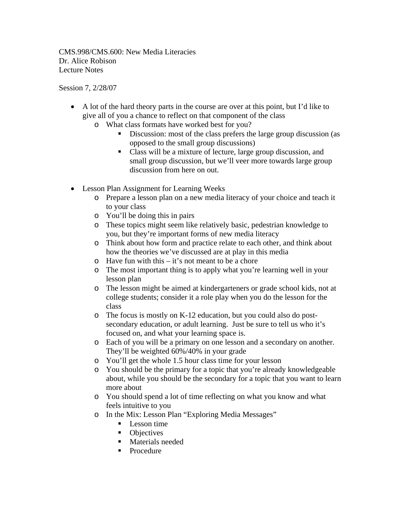CMS.998/CMS.600: New Media Literacies Dr. Alice Robison Lecture Notes

Session 7, 2/28/07

- A lot of the hard theory parts in the course are over at this point, but I'd like to give all of you a chance to reflect on that component of the class
	- o What class formats have worked best for you?
		- Discussion: most of the class prefers the large group discussion (as opposed to the small group discussions)
		- Class will be a mixture of lecture, large group discussion, and small group discussion, but we'll veer more towards large group discussion from here on out.
- Lesson Plan Assignment for Learning Weeks
	- o Prepare a lesson plan on a new media literacy of your choice and teach it to your class
	- o You'll be doing this in pairs
	- o These topics might seem like relatively basic, pedestrian knowledge to you, but they're important forms of new media literacy
	- o Think about how form and practice relate to each other, and think about how the theories we've discussed are at play in this media
	- o Have fun with this it's not meant to be a chore
	- o The most important thing is to apply what you're learning well in your lesson plan
	- o The lesson might be aimed at kindergarteners or grade school kids, not at college students; consider it a role play when you do the lesson for the class
	- o The focus is mostly on K-12 education, but you could also do postsecondary education, or adult learning. Just be sure to tell us who it's focused on, and what your learning space is.
	- o Each of you will be a primary on one lesson and a secondary on another. They'll be weighted 60%/40% in your grade
	- o You'll get the whole 1.5 hour class time for your lesson
	- o You should be the primary for a topic that you're already knowledgeable about, while you should be the secondary for a topic that you want to learn more about
	- o You should spend a lot of time reflecting on what you know and what feels intuitive to you
	- o In the Mix: Lesson Plan "Exploring Media Messages"
		- $\blacksquare$  Lesson time
		- Objectives
		- **Naterials needed**
		- **Procedure**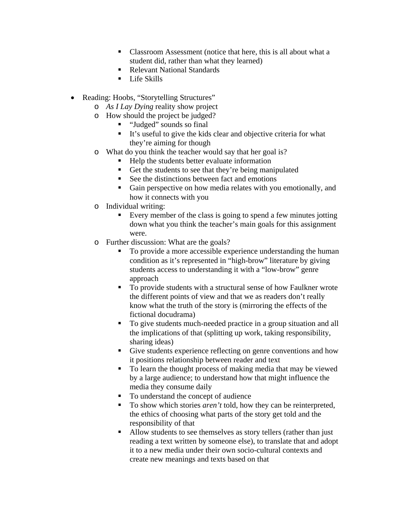- Classroom Assessment (notice that here, this is all about what a student did, rather than what they learned)
- Relevant National Standards
- **Life Skills**
- Reading: Hoobs, "Storytelling Structures"
	- o *As I Lay Dying* reality show project
	- o How should the project be judged?
		- "Judged" sounds so final
		- $\blacksquare$  It's useful to give the kids clear and objective criteria for what they're aiming for though
	- o What do you think the teacher would say that her goal is?
		- Help the students better evaluate information
		- Get the students to see that they're being manipulated
		- $\blacksquare$  See the distinctions between fact and emotions
		- Gain perspective on how media relates with you emotionally, and how it connects with you
	- o Individual writing:
		- Every member of the class is going to spend a few minutes jotting down what you think the teacher's main goals for this assignment were.
	- o Further discussion: What are the goals?
		- To provide a more accessible experience understanding the human condition as it's represented in "high-brow" literature by giving students access to understanding it with a "low-brow" genre approach
		- To provide students with a structural sense of how Faulkner wrote the different points of view and that we as readers don't really know what the truth of the story is (mirroring the effects of the fictional docudrama)
		- To give students much-needed practice in a group situation and all the implications of that (splitting up work, taking responsibility, sharing ideas)
		- Give students experience reflecting on genre conventions and how it positions relationship between reader and text
		- To learn the thought process of making media that may be viewed by a large audience; to understand how that might influence the media they consume daily
		- To understand the concept of audience
		- To show which stories *aren't* told, how they can be reinterpreted, the ethics of choosing what parts of the story get told and the responsibility of that
		- Allow students to see themselves as story tellers (rather than just reading a text written by someone else), to translate that and adopt it to a new media under their own socio-cultural contexts and create new meanings and texts based on that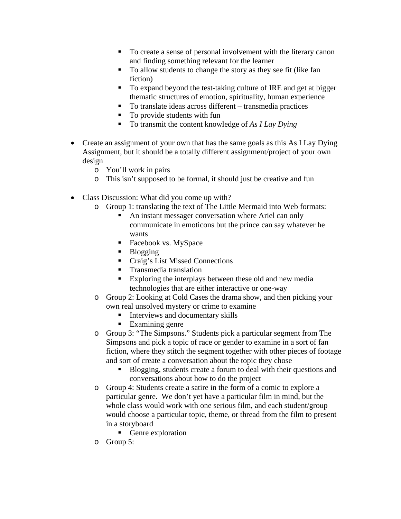- To create a sense of personal involvement with the literary canon and finding something relevant for the learner
- To allow students to change the story as they see fit (like fan fiction)
- To expand beyond the test-taking culture of IRE and get at bigger thematic structures of emotion, spirituality, human experience
- To translate ideas across different transmedia practices
- To provide students with fun
- To transmit the content knowledge of *As I Lay Dying*
- Create an assignment of your own that has the same goals as this As I Lay Dying Assignment, but it should be a totally different assignment/project of your own design
	- o You'll work in pairs
	- o This isn't supposed to be formal, it should just be creative and fun
- Class Discussion: What did you come up with?
	- o Group 1: translating the text of The Little Mermaid into Web formats:
		- An instant messager conversation where Ariel can only communicate in emoticons but the prince can say whatever he wants
		- Facebook vs. MySpace
		- **Blogging**
		- Craig's List Missed Connections
		- **Transmedia translation**
		- Exploring the interplays between these old and new media technologies that are either interactive or one-way
	- o Group 2: Looking at Cold Cases the drama show, and then picking your own real unsolved mystery or crime to examine
		- **Interviews and documentary skills**
		- Examining genre
	- o Group 3: "The Simpsons." Students pick a particular segment from The Simpsons and pick a topic of race or gender to examine in a sort of fan fiction, where they stitch the segment together with other pieces of footage and sort of create a conversation about the topic they chose
		- Blogging, students create a forum to deal with their questions and conversations about how to do the project
	- o Group 4: Students create a satire in the form of a comic to explore a particular genre. We don't yet have a particular film in mind, but the whole class would work with one serious film, and each student/group would choose a particular topic, theme, or thread from the film to present in a storyboard
		- Genre exploration
	- o Group 5: